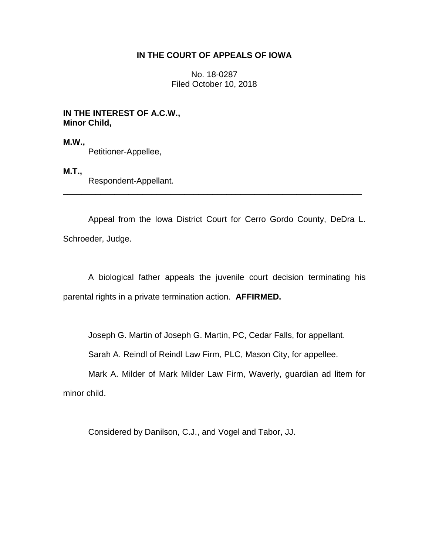## **IN THE COURT OF APPEALS OF IOWA**

No. 18-0287 Filed October 10, 2018

## **IN THE INTEREST OF A.C.W., Minor Child,**

**M.W.,**  Petitioner-Appellee,

# **M.T.,**

Respondent-Appellant.

Appeal from the Iowa District Court for Cerro Gordo County, DeDra L. Schroeder, Judge.

\_\_\_\_\_\_\_\_\_\_\_\_\_\_\_\_\_\_\_\_\_\_\_\_\_\_\_\_\_\_\_\_\_\_\_\_\_\_\_\_\_\_\_\_\_\_\_\_\_\_\_\_\_\_\_\_\_\_\_\_\_\_\_\_

A biological father appeals the juvenile court decision terminating his parental rights in a private termination action. **AFFIRMED.**

Joseph G. Martin of Joseph G. Martin, PC, Cedar Falls, for appellant.

Sarah A. Reindl of Reindl Law Firm, PLC, Mason City, for appellee.

Mark A. Milder of Mark Milder Law Firm, Waverly, guardian ad litem for minor child.

Considered by Danilson, C.J., and Vogel and Tabor, JJ.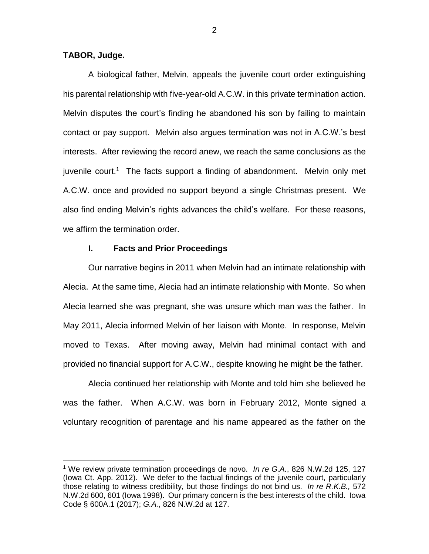## **TABOR, Judge.**

 $\overline{a}$ 

A biological father, Melvin, appeals the juvenile court order extinguishing his parental relationship with five-year-old A.C.W. in this private termination action. Melvin disputes the court's finding he abandoned his son by failing to maintain contact or pay support. Melvin also argues termination was not in A.C.W.'s best interests. After reviewing the record anew, we reach the same conclusions as the juvenile court.<sup>1</sup> The facts support a finding of abandonment. Melvin only met A.C.W. once and provided no support beyond a single Christmas present. We also find ending Melvin's rights advances the child's welfare. For these reasons, we affirm the termination order.

#### **I. Facts and Prior Proceedings**

Our narrative begins in 2011 when Melvin had an intimate relationship with Alecia. At the same time, Alecia had an intimate relationship with Monte. So when Alecia learned she was pregnant, she was unsure which man was the father. In May 2011, Alecia informed Melvin of her liaison with Monte. In response, Melvin moved to Texas. After moving away, Melvin had minimal contact with and provided no financial support for A.C.W., despite knowing he might be the father.

Alecia continued her relationship with Monte and told him she believed he was the father. When A.C.W. was born in February 2012, Monte signed a voluntary recognition of parentage and his name appeared as the father on the

2

<sup>1</sup> We review private termination proceedings de novo. *In re G.A.*, 826 N.W.2d 125, 127 (Iowa Ct. App. 2012). We defer to the factual findings of the juvenile court, particularly those relating to witness credibility, but those findings do not bind us. *In re R.K.B.,* 572 N.W.2d 600, 601 (Iowa 1998). Our primary concern is the best interests of the child. Iowa Code § 600A.1 (2017); *G.A.*, 826 N.W.2d at 127.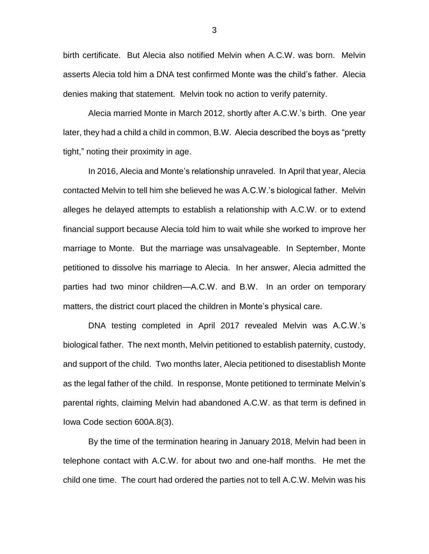birth certificate. But Alecia also notified Melvin when A.C.W. was born. Melvin asserts Alecia told him a DNA test confirmed Monte was the child's father. Alecia denies making that statement. Melvin took no action to verify paternity.

Alecia married Monte in March 2012, shortly after A.C.W.'s birth. One year later, they had a child a child in common, B.W. Alecia described the boys as "pretty tight," noting their proximity in age.

In 2016, Alecia and Monte's relationship unraveled. In April that year, Alecia contacted Melvin to tell him she believed he was A.C.W.'s biological father. Melvin alleges he delayed attempts to establish a relationship with A.C.W. or to extend financial support because Alecia told him to wait while she worked to improve her marriage to Monte. But the marriage was unsalvageable. In September, Monte petitioned to dissolve his marriage to Alecia. In her answer, Alecia admitted the parties had two minor children—A.C.W. and B.W. In an order on temporary matters, the district court placed the children in Monte's physical care.

DNA testing completed in April 2017 revealed Melvin was A.C.W.'s biological father. The next month, Melvin petitioned to establish paternity, custody, and support of the child. Two months later, Alecia petitioned to disestablish Monte as the legal father of the child. In response, Monte petitioned to terminate Melvin's parental rights, claiming Melvin had abandoned A.C.W. as that term is defined in Iowa Code section 600A.8(3).

By the time of the termination hearing in January 2018, Melvin had been in telephone contact with A.C.W. for about two and one-half months. He met the child one time. The court had ordered the parties not to tell A.C.W. Melvin was his

3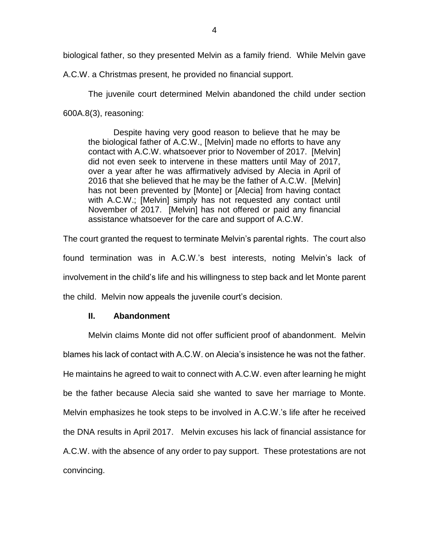biological father, so they presented Melvin as a family friend. While Melvin gave

A.C.W. a Christmas present, he provided no financial support.

The juvenile court determined Melvin abandoned the child under section 600A.8(3), reasoning:

Despite having very good reason to believe that he may be the biological father of A.C.W., [Melvin] made no efforts to have any contact with A.C.W. whatsoever prior to November of 2017. [Melvin] did not even seek to intervene in these matters until May of 2017, over a year after he was affirmatively advised by Alecia in April of 2016 that she believed that he may be the father of A.C.W. [Melvin] has not been prevented by [Monte] or [Alecia] from having contact with A.C.W.; [Melvin] simply has not requested any contact until November of 2017. [Melvin] has not offered or paid any financial assistance whatsoever for the care and support of A.C.W.

The court granted the request to terminate Melvin's parental rights. The court also found termination was in A.C.W.'s best interests, noting Melvin's lack of involvement in the child's life and his willingness to step back and let Monte parent the child. Melvin now appeals the juvenile court's decision.

# **II. Abandonment**

Melvin claims Monte did not offer sufficient proof of abandonment. Melvin blames his lack of contact with A.C.W. on Alecia's insistence he was not the father. He maintains he agreed to wait to connect with A.C.W. even after learning he might be the father because Alecia said she wanted to save her marriage to Monte. Melvin emphasizes he took steps to be involved in A.C.W.'s life after he received the DNA results in April 2017. Melvin excuses his lack of financial assistance for A.C.W. with the absence of any order to pay support. These protestations are not convincing.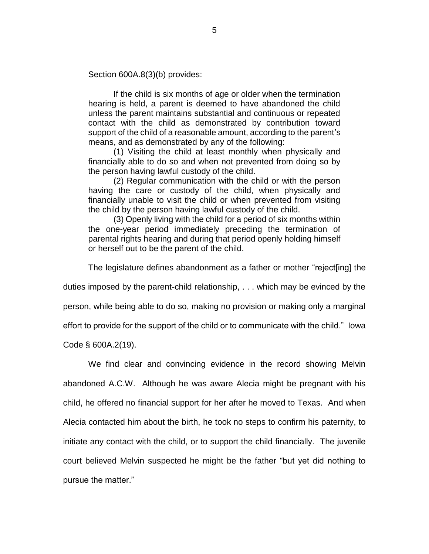Section 600A.8(3)(b) provides:

If the child is six months of age or older when the termination hearing is held, a parent is deemed to have abandoned the child unless the parent maintains substantial and continuous or repeated contact with the child as demonstrated by contribution toward support of the child of a reasonable amount, according to the parent's means, and as demonstrated by any of the following:

(1) Visiting the child at least monthly when physically and financially able to do so and when not prevented from doing so by the person having lawful custody of the child.

(2) Regular communication with the child or with the person having the care or custody of the child, when physically and financially unable to visit the child or when prevented from visiting the child by the person having lawful custody of the child.

(3) Openly living with the child for a period of six months within the one-year period immediately preceding the termination of parental rights hearing and during that period openly holding himself or herself out to be the parent of the child.

The legislature defines abandonment as a father or mother "reject[ing] the

duties imposed by the parent-child relationship, . . . which may be evinced by the

person, while being able to do so, making no provision or making only a marginal

effort to provide for the support of the child or to communicate with the child." Iowa

Code § 600A.2(19).

We find clear and convincing evidence in the record showing Melvin abandoned A.C.W. Although he was aware Alecia might be pregnant with his child, he offered no financial support for her after he moved to Texas. And when Alecia contacted him about the birth, he took no steps to confirm his paternity, to initiate any contact with the child, or to support the child financially. The juvenile court believed Melvin suspected he might be the father "but yet did nothing to pursue the matter."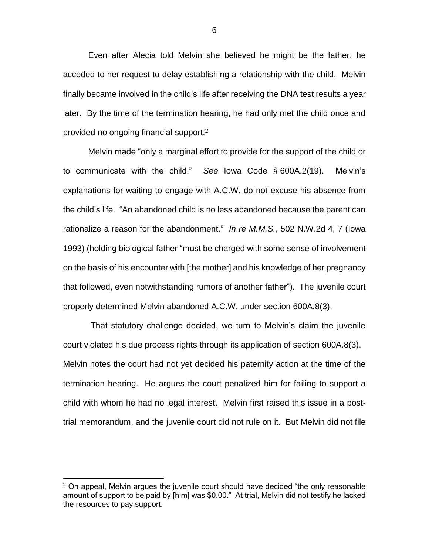Even after Alecia told Melvin she believed he might be the father, he acceded to her request to delay establishing a relationship with the child. Melvin finally became involved in the child's life after receiving the DNA test results a year later. By the time of the termination hearing, he had only met the child once and provided no ongoing financial support.<sup>2</sup>

Melvin made "only a marginal effort to provide for the support of the child or to communicate with the child." *See* Iowa Code § 600A.2(19). Melvin's explanations for waiting to engage with A.C.W. do not excuse his absence from the child's life. "An abandoned child is no less abandoned because the parent can rationalize a reason for the abandonment." *In re M.M.S.*, 502 N.W.2d 4, 7 (Iowa 1993) (holding biological father "must be charged with some sense of involvement on the basis of his encounter with [the mother] and his knowledge of her pregnancy that followed, even notwithstanding rumors of another father"). The juvenile court properly determined Melvin abandoned A.C.W. under section 600A.8(3).

That statutory challenge decided, we turn to Melvin's claim the juvenile court violated his due process rights through its application of section 600A.8(3). Melvin notes the court had not yet decided his paternity action at the time of the termination hearing. He argues the court penalized him for failing to support a child with whom he had no legal interest. Melvin first raised this issue in a posttrial memorandum, and the juvenile court did not rule on it. But Melvin did not file

 $\overline{a}$ 

 $2$  On appeal, Melvin argues the juvenile court should have decided "the only reasonable amount of support to be paid by [him] was \$0.00." At trial, Melvin did not testify he lacked the resources to pay support.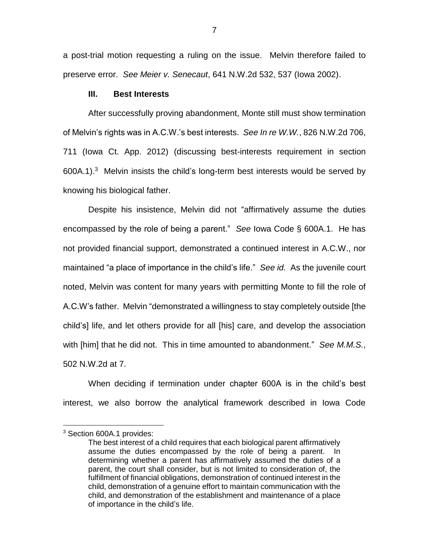a post-trial motion requesting a ruling on the issue. Melvin therefore failed to preserve error. *See Meier v. Senecaut*, 641 N.W.2d 532, 537 (Iowa 2002).

#### **III. Best Interests**

After successfully proving abandonment, Monte still must show termination of Melvin's rights was in A.C.W.'s best interests. *See In re W.W.*, 826 N.W.2d 706, 711 (Iowa Ct. App. 2012) (discussing best-interests requirement in section 600A.1). 3 Melvin insists the child's long-term best interests would be served by knowing his biological father.

Despite his insistence, Melvin did not "affirmatively assume the duties encompassed by the role of being a parent." *See* Iowa Code § 600A.1. He has not provided financial support, demonstrated a continued interest in A.C.W., nor maintained "a place of importance in the child's life." *See id.* As the juvenile court noted, Melvin was content for many years with permitting Monte to fill the role of A.C.W's father. Melvin "demonstrated a willingness to stay completely outside [the child's] life, and let others provide for all [his] care, and develop the association with [him] that he did not. This in time amounted to abandonment." *See M.M.S.*, 502 N.W.2d at 7.

When deciding if termination under chapter 600A is in the child's best interest, we also borrow the analytical framework described in Iowa Code

 $\overline{a}$ 

<sup>&</sup>lt;sup>3</sup> Section 600A.1 provides:

The best interest of a child requires that each biological parent affirmatively assume the duties encompassed by the role of being a parent. In determining whether a parent has affirmatively assumed the duties of a parent, the court shall consider, but is not limited to consideration of, the fulfillment of financial obligations, demonstration of continued interest in the child, demonstration of a genuine effort to maintain communication with the child, and demonstration of the establishment and maintenance of a place of importance in the child's life.